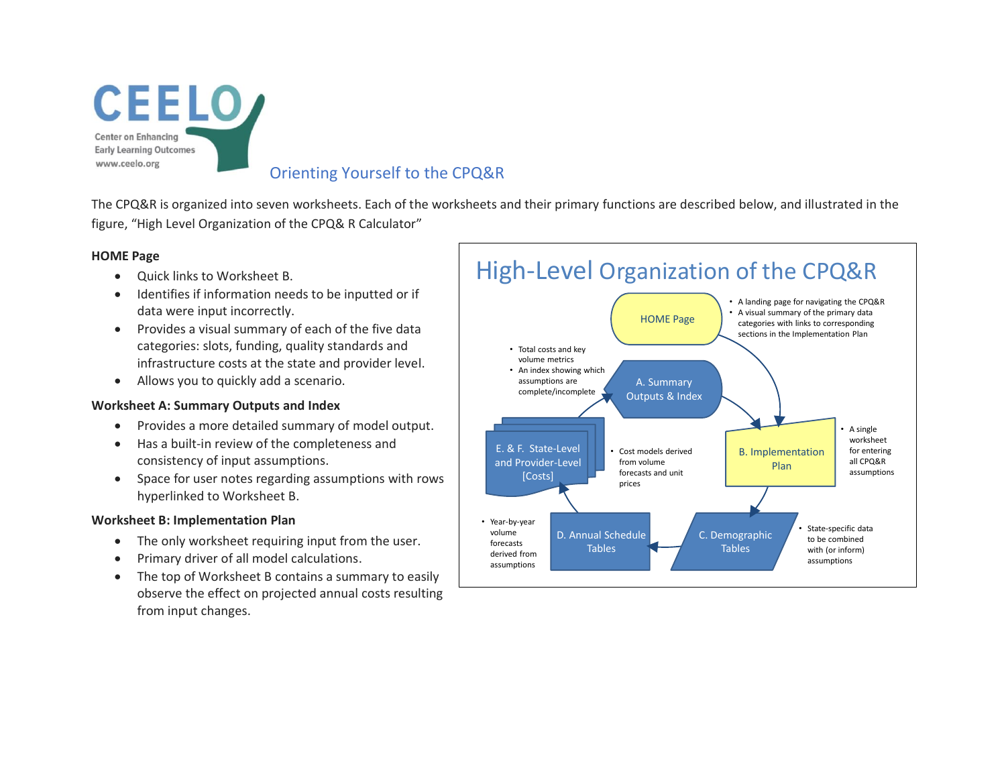

The CPQ&R is organized into seven worksheets. Each of the worksheets and their primary functions are described below, and illustrated in the figure, "High Level Organization of the CPQ& R Calculator"

## **HOME Page**

- Quick links to Worksheet B.
- Identifies if information needs to be inputted or if data were input incorrectly.
- Provides a visual summary of each of the five data categories: slots, funding, quality standards and infrastructure costs at the state and provider level.
- Allows you to quickly add a scenario.

### **Worksheet A: Summary Outputs and Index**

- Provides a more detailed summary of model output.
- Has a built-in review of the completeness and consistency of input assumptions.
- Space for user notes regarding assumptions with rows hyperlinked to Worksheet B.

# **Worksheet B: Implementation Plan**

- The only worksheet requiring input from the user.
- Primary driver of all model calculations.
- The top of Worksheet B contains a summary to easily observe the effect on projected annual costs resulting from input changes.